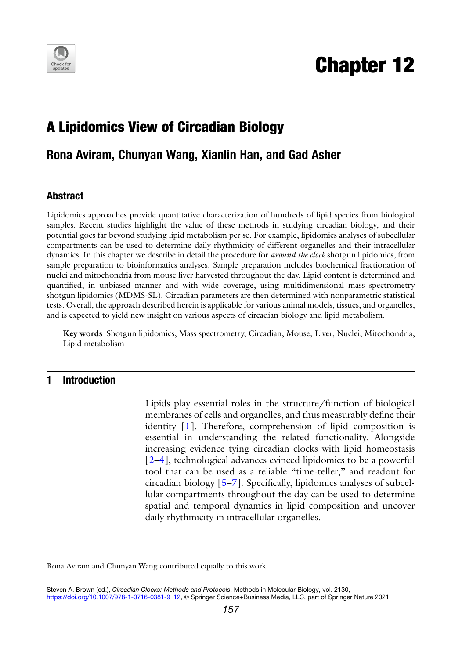

# Chapter 12

## A Lipidomics View of Circadian Biology

### Rona Aviram, Chunyan Wang, Xianlin Han, and Gad Asher

#### Abstract

Lipidomics approaches provide quantitative characterization of hundreds of lipid species from biological samples. Recent studies highlight the value of these methods in studying circadian biology, and their potential goes far beyond studying lipid metabolism per se. For example, lipidomics analyses of subcellular compartments can be used to determine daily rhythmicity of different organelles and their intracellular dynamics. In this chapter we describe in detail the procedure for *around the clock* shotgun lipidomics, from sample preparation to bioinformatics analyses. Sample preparation includes biochemical fractionation of nuclei and mitochondria from mouse liver harvested throughout the day. Lipid content is determined and quantified, in unbiased manner and with wide coverage, using multidimensional mass spectrometry shotgun lipidomics (MDMS-SL). Circadian parameters are then determined with nonparametric statistical tests. Overall, the approach described herein is applicable for various animal models, tissues, and organelles, and is expected to yield new insight on various aspects of circadian biology and lipid metabolism.

Key words Shotgun lipidomics, Mass spectrometry, Circadian, Mouse, Liver, Nuclei, Mitochondria, Lipid metabolism

#### 1 Introduction

Lipids play essential roles in the structure/function of biological membranes of cells and organelles, and thus measurably define their identity [\[1](#page-11-0)]. Therefore, comprehension of lipid composition is essential in understanding the related functionality. Alongside increasing evidence tying circadian clocks with lipid homeostasis [[2–](#page-11-1)[4\]](#page-11-2), technological advances evinced lipidomics to be a powerful tool that can be used as a reliable "time-teller," and readout for circadian biology [\[5](#page-11-3)[–7](#page-11-4)]. Specifically, lipidomics analyses of subcellular compartments throughout the day can be used to determine spatial and temporal dynamics in lipid composition and uncover daily rhythmicity in intracellular organelles.

Rona Aviram and Chunyan Wang contributed equally to this work.

Steven A. Brown (ed.), Circadian Clocks: Methods and Protocols, Methods in Molecular Biology, vol. 2130, [https://doi.org/10.1007/978-1-0716-0381-9\\_12](https://doi.org/10.1007/978-1-0716-0381-9_12#DOI), © Springer Science+Business Media, LLC, part of Springer Nature 2021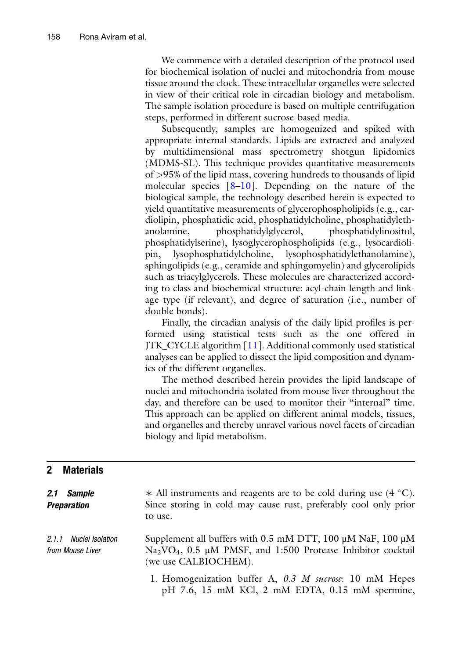We commence with a detailed description of the protocol used for biochemical isolation of nuclei and mitochondria from mouse tissue around the clock. These intracellular organelles were selected in view of their critical role in circadian biology and metabolism. The sample isolation procedure is based on multiple centrifugation steps, performed in different sucrose-based media.

Subsequently, samples are homogenized and spiked with appropriate internal standards. Lipids are extracted and analyzed by multidimensional mass spectrometry shotgun lipidomics (MDMS-SL). This technique provides quantitative measurements of >95% of the lipid mass, covering hundreds to thousands of lipid molecular species  $[8-10]$  $[8-10]$  $[8-10]$  $[8-10]$  $[8-10]$ . Depending on the nature of the biological sample, the technology described herein is expected to yield quantitative measurements of glycerophospholipids (e.g., cardiolipin, phosphatidic acid, phosphatidylcholine, phosphatidylethanolamine, phosphatidylglycerol, phosphatidylinositol, phosphatidylserine), lysoglycerophospholipids (e.g., lysocardiolipin, lysophosphatidylcholine, lysophosphatidylethanolamine), sphingolipids (e.g., ceramide and sphingomyelin) and glycerolipids such as triacylglycerols. These molecules are characterized according to class and biochemical structure: acyl-chain length and linkage type (if relevant), and degree of saturation (i.e., number of double bonds).

Finally, the circadian analysis of the daily lipid profiles is performed using statistical tests such as the one offered in JTK\_CYCLE algorithm [\[11](#page-11-7)]. Additional commonly used statistical analyses can be applied to dissect the lipid composition and dynamics of the different organelles.

The method described herein provides the lipid landscape of nuclei and mitochondria isolated from mouse liver throughout the day, and therefore can be used to monitor their "internal" time. This approach can be applied on different animal models, tissues, and organelles and thereby unravel various novel facets of circadian biology and lipid metabolism.

#### 2 Materials

| 2.1 Sample<br><b>Preparation</b>           | $*$ All instruments and reagents are to be cold during use (4 °C).<br>Since storing in cold may cause rust, preferably cool only prior<br>to use.                          |
|--------------------------------------------|----------------------------------------------------------------------------------------------------------------------------------------------------------------------------|
| 2.1.1 Nuclei Isolation<br>from Mouse Liver | Supplement all buffers with 0.5 mM DTT, 100 µM NaF, 100 µM<br>Na <sub>2</sub> VO <sub>4</sub> , 0.5 µM PMSF, and 1:500 Protease Inhibitor cocktail<br>(we use CALBIOCHEM). |
|                                            | 1. Homogenization buffer A, 0.3 M sucrose: 10 mM Hepes<br>pH 7.6, 15 mM KCl, 2 mM EDTA, 0.15 mM spermine,                                                                  |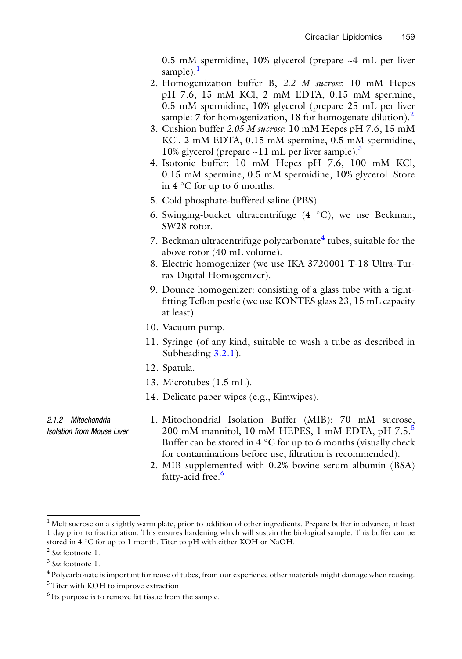0.5 mM spermidine, 10% glycerol (prepare ~4 mL per liver sample). $<sup>1</sup>$  $<sup>1</sup>$  $<sup>1</sup>$ </sup>

- 2. Homogenization buffer B, 2.2 M sucrose: 10 mM Hepes pH 7.6, 15 mM KCl, 2 mM EDTA, 0.15 mM spermine, 0.5 mM spermidine, 10% glycerol (prepare 25 mL per liver sample: 7 for homogenization, 18 for homogenate dilution).<sup>[2](#page-2-1)</sup>
- 3. Cushion buffer 2.05 M sucrose: 10 mM Hepes pH 7.6, 15 mM KCl, 2 mM EDTA, 0.15 mM spermine, 0.5 mM spermidine, 10% glycerol (prepare  $\sim$ 11 mL per liver sample).<sup>3</sup>
- 4. Isotonic buffer: 10 mM Hepes pH 7.6, 100 mM KCl, 0.15 mM spermine, 0.5 mM spermidine, 10% glycerol. Store in  $4^{\circ}$ C for up to 6 months.
- 5. Cold phosphate-buffered saline (PBS).
- 6. Swinging-bucket ultracentrifuge  $(4 \degree C)$ , we use Beckman, SW28 rotor.
- 7. Beckman ultracentrifuge polycarbonate $4$  tubes, suitable for the above rotor (40 mL volume).
- 8. Electric homogenizer (we use IKA 3720001 T-18 Ultra-Turrax Digital Homogenizer).
- 9. Dounce homogenizer: consisting of a glass tube with a tightfitting Teflon pestle (we use KONTES glass 23, 15 mL capacity at least).
- 10. Vacuum pump.
- 11. Syringe (of any kind, suitable to wash a tube as described in Subheading [3.2.1\)](#page-5-0).
- 12. Spatula.
- 13. Microtubes (1.5 mL).
- 14. Delicate paper wipes (e.g., Kimwipes).
- 2.1.2 Mitochondria Isolation from Mouse Liver
- 1. Mitochondrial Isolation Buffer (MIB): 70 mM sucrose, 200 mM mannitol, 10 mM HEPES, 1 mM EDTA, pH 7[.5](#page-2-4).<sup>5</sup> Buffer can be stored in  $4^{\circ}$ C for up to 6 months (visually check for contaminations before use, filtration is recommended).
- 2. MIB supplemented with 0.2% bovine serum albumin (BSA) fatty-acid free.<sup>[6](#page-2-5)</sup>

<span id="page-2-0"></span> $<sup>1</sup>$  Melt sucrose on a slightly warm plate, prior to addition of other ingredients. Prepare buffer in advance, at least</sup> 1 day prior to fractionation. This ensures hardening which will sustain the biological sample. This buffer can be stored in 4 °C for up to 1 month. Titer to pH with either KOH or NaOH.

<span id="page-2-1"></span><sup>2</sup> See footnote 1.

<span id="page-2-2"></span><sup>3</sup> See footnote 1.

<span id="page-2-3"></span><sup>4</sup> Polycarbonate is important for reuse of tubes, from our experience other materials might damage when reusing.

<span id="page-2-4"></span><sup>&</sup>lt;sup>5</sup>Titer with KOH to improve extraction.

<span id="page-2-5"></span><sup>&</sup>lt;sup>6</sup> Its purpose is to remove fat tissue from the sample.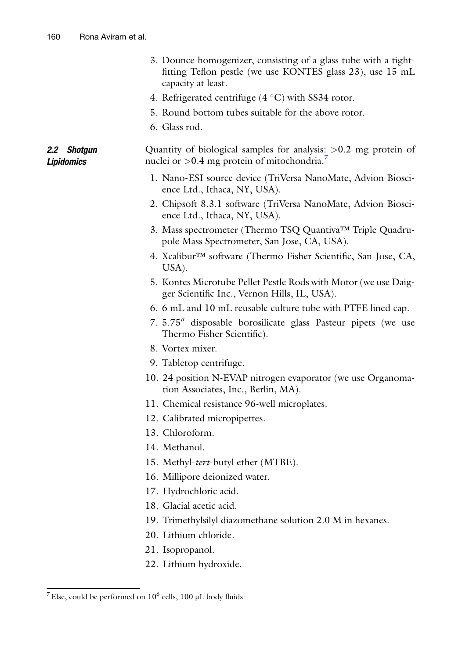2.2 Shotgun Lipidomics

| 3. Dounce homogenizer, consisting of a glass tube with a tight- |
|-----------------------------------------------------------------|
| fitting Teflon pestle (we use KONTES glass 23), use 15 mL       |
| capacity at least.                                              |

- 4. Refrigerated centrifuge  $(4 \degree C)$  with SS34 rotor.
- 5. Round bottom tubes suitable for the above rotor.
- 6. Glass rod.

Quantity of biological samples for analysis: >0.2 mg protein of nuclei or  $>0.4$  mg protein of mitochondria.<sup>7</sup>

- 1. Nano-ESI source device (TriVersa NanoMate, Advion Bioscience Ltd., Ithaca, NY, USA).
- 2. Chipsoft 8.3.1 software (TriVersa NanoMate, Advion Bioscience Ltd., Ithaca, NY, USA).
- 3. Mass spectrometer (Thermo TSQ Quantiva™ Triple Quadrupole Mass Spectrometer, San Jose, CA, USA).
- 4. Xcalibur™ software (Thermo Fisher Scientific, San Jose, CA, USA).
- 5. Kontes Microtube Pellet Pestle Rods with Motor (we use Daigger Scientific Inc., Vernon Hills, IL, USA).
- 6. 6 mL and 10 mL reusable culture tube with PTFE lined cap.
- 7. 5.75" disposable borosilicate glass Pasteur pipets (we use Thermo Fisher Scientific).
- 8. Vortex mixer.
- 9. Tabletop centrifuge.
- 10. 24 position N-EVAP nitrogen evaporator (we use Organomation Associates, Inc., Berlin, MA).
- 11. Chemical resistance 96-well microplates.
- 12. Calibrated micropipettes.
- 13. Chloroform.
- 14. Methanol.
- 15. Methyl-tert-butyl ether (MTBE).
- 16. Millipore deionized water.
- 17. Hydrochloric acid.
- 18. Glacial acetic acid.
- 19. Trimethylsilyl diazomethane solution 2.0 M in hexanes.
- 20. Lithium chloride.
- 21. Isopropanol.
- 22. Lithium hydroxide.

<span id="page-3-0"></span><sup>&</sup>lt;sup>7</sup> Else, could be performed on  $10^6$  cells, 100  $\mu$ L body fluids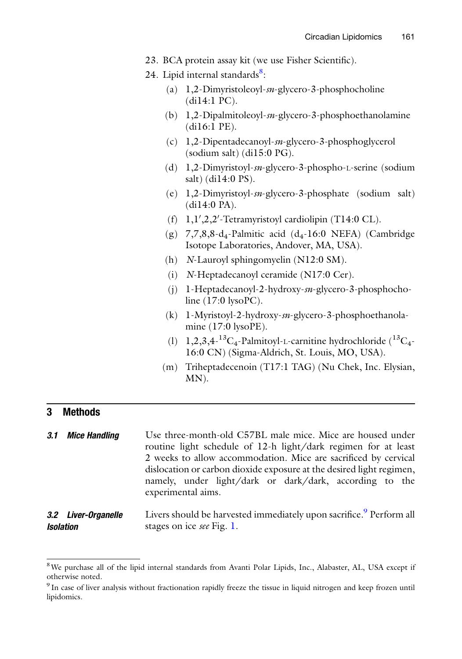- 23. BCA protein assay kit (we use Fisher Scientific).
- 24. Lipid internal standards<sup>8</sup>:
	- (a) 1,2-Dimyristoleoyl-sn-glycero-3-phosphocholine (di14:1 PC).
	- (b) 1,2-Dipalmitoleoyl-sn-glycero-3-phosphoethanolamine (di16:1 PE).
	- (c) 1,2-Dipentadecanoyl-sn-glycero-3-phosphoglycerol (sodium salt) (di15:0 PG).
	- (d) 1,2-Dimyristoyl-sn-glycero-3-phospho-L-serine (sodium salt) (di14:0 PS).
	- (e) 1,2-Dimyristoyl-sn-glycero-3-phosphate (sodium salt) (di14:0 PA).
	- $(f)$  1,1',2,2'-Tetramyristoyl cardiolipin (T14:0 CL).
	- (g)  $7,7,8,8$ -d<sub>4</sub>-Palmitic acid (d<sub>4</sub>-16:0 NEFA) (Cambridge Isotope Laboratories, Andover, MA, USA).
	- (h) N-Lauroyl sphingomyelin (N12:0 SM).
	- (i) N-Heptadecanoyl ceramide (N17:0 Cer).
	- (j) 1-Heptadecanoyl-2-hydroxy-sn-glycero-3-phosphocholine (17:0 lysoPC).
	- (k) 1-Myristoyl-2-hydroxy-sn-glycero-3-phosphoethanolamine (17:0 lysoPE).
	- (l)  $1,2,3,4$ - ${}^{13}C_4$ -Palmitoyl-L-carnitine hydrochloride ( ${}^{13}C_4$ -16:0 CN) (Sigma-Aldrich, St. Louis, MO, USA).
	- (m) Triheptadecenoin (T17:1 TAG) (Nu Chek, Inc. Elysian, MN).

#### 3 Methods

**3.1 Mice Handling** Use three-month-old C57BL male mice. Mice are housed under routine light schedule of 12-h light/dark regimen for at least 2 weeks to allow accommodation. Mice are sacrificed by cervical dislocation or carbon dioxide exposure at the desired light regimen, namely, under light/dark or dark/dark, according to the experimental aims.

#### 3.2 Liver-Organelle Isolation Livers should be harvested immediately upon sacrifice.<sup>[9](#page-4-1)</sup> Perform all stages on ice see Fig. [1](#page-5-1).

<span id="page-4-0"></span><sup>&</sup>lt;sup>8</sup>We purchase all of the lipid internal standards from Avanti Polar Lipids, Inc., Alabaster, AL, USA except if otherwise noted.

<span id="page-4-1"></span><sup>9</sup> In case of liver analysis without fractionation rapidly freeze the tissue in liquid nitrogen and keep frozen until lipidomics.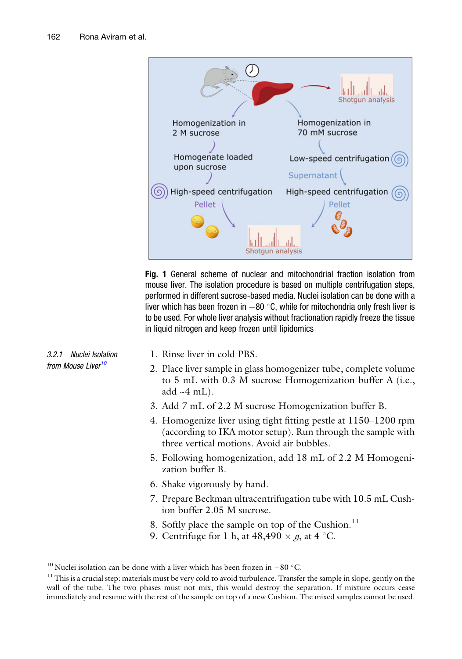<span id="page-5-0"></span>3.2.1 Nuclei Isolation from Mouse Liver<sup>[10](#page-5-2)</sup>

<span id="page-5-1"></span>

Fig. 1 General scheme of nuclear and mitochondrial fraction isolation from mouse liver. The isolation procedure is based on multiple centrifugation steps, performed in different sucrose-based media. Nuclei isolation can be done with a liver which has been frozen in  $-80$  °C, while for mitochondria only fresh liver is to be used. For whole liver analysis without fractionation rapidly freeze the tissue in liquid nitrogen and keep frozen until lipidomics

- 1. Rinse liver in cold PBS.
- 2. Place liver sample in glass homogenizer tube, complete volume to 5 mL with 0.3 M sucrose Homogenization buffer A (i.e., add  $-4$  mL).
- 3. Add 7 mL of 2.2 M sucrose Homogenization buffer B.
- 4. Homogenize liver using tight fitting pestle at 1150–1200 rpm (according to IKA motor setup). Run through the sample with three vertical motions. Avoid air bubbles.
- 5. Following homogenization, add 18 mL of 2.2 M Homogenization buffer B.
- 6. Shake vigorously by hand.
- 7. Prepare Beckman ultracentrifugation tube with 10.5 mL Cushion buffer 2.05 M sucrose.
- 8. Softly place the sample on top of the Cushion.<sup>[11](#page-5-3)</sup>
- 9. Centrifuge for 1 h, at  $48,490 \times g$ , at  $4^{\circ}$ C.

<span id="page-5-3"></span>

<span id="page-5-2"></span><sup>&</sup>lt;sup>10</sup> Nuclei isolation can be done with a liver which has been frozen in  $-80$  °C.<br><sup>11</sup> This is a crucial step: materials must be very cold to avoid turbulence. Transfer the sample in slope, gently on the wall of the tube. The two phases must not mix, this would destroy the separation. If mixture occurs cease immediately and resume with the rest of the sample on top of a new Cushion. The mixed samples cannot be used.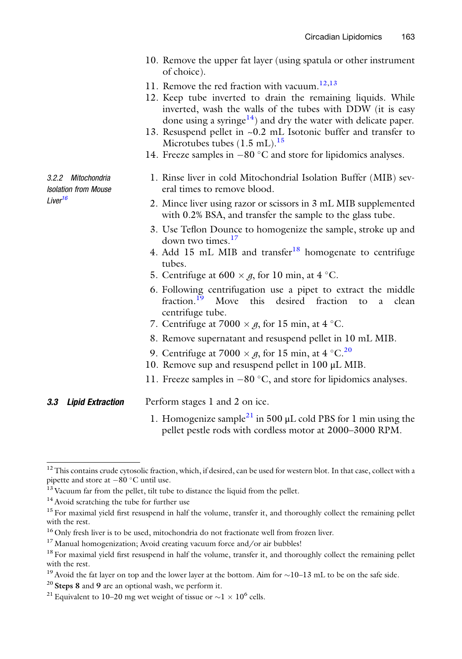- 10. Remove the upper fat layer (using spatula or other instrument of choice).
- 11. Remove the red fraction with vacuum.<sup>[12,](#page-6-0)[13](#page-6-1)</sup>
- 12. Keep tube inverted to drain the remaining liquids. While inverted, wash the walls of the tubes with DDW (it is easy done using a syringe<sup>14</sup>) and dry the water with delicate paper.
- 13. Resuspend pellet in ~0.2 mL Isotonic buffer and transfer to Microtubes tubes  $(1.5 \text{ mL})$ .<sup>[15](#page-6-3)</sup>
- 14. Freeze samples in  $-80$  °C and store for lipidomics analyses.

3.2.2 Mitochondria Isolation from Mouse I iver<sup>[16](#page-6-4)</sup>

- 1. Rinse liver in cold Mitochondrial Isolation Buffer (MIB) several times to remove blood.
- 2. Mince liver using razor or scissors in 3 mL MIB supplemented with 0.2% BSA, and transfer the sample to the glass tube.
- 3. Use Teflon Dounce to homogenize the sample, stroke up and down two times.<sup>[17](#page-6-5)</sup>
- 4. Add 15 mL MIB and transfer<sup>[18](#page-6-6)</sup> homogenate to centrifuge tubes.
- 5. Centrifuge at 600  $\times$  g, for 10 min, at 4 °C.
- 6. Following centrifugation use a pipet to extract the middle fraction.<sup>19</sup> Move this desired fraction to a clean Move this desired fraction to a clean centrifuge tube.
- 7. Centrifuge at 7000  $\times$  g, for 15 min, at 4 °C.
- 8. Remove supernatant and resuspend pellet in 10 mL MIB.
- 9. Centrifuge at 7000  $\times$  g, for 15 min, at 4 °C.<sup>[20](#page-6-8)</sup>
- 10. Remove sup and resuspend pellet in 100 μL MIB.
- 11. Freeze samples in  $-80$  °C, and store for lipidomics analyses.

#### **3.3 Lipid Extraction** Perform stages 1 and 2 on ice.

1. Homogenize sample<sup>[21](#page-6-9)</sup> in 500  $\mu$ L cold PBS for 1 min using the pellet pestle rods with cordless motor at 2000–3000 RPM.

<span id="page-6-0"></span><sup>&</sup>lt;sup>12</sup> This contains crude cytosolic fraction, which, if desired, can be used for western blot. In that case, collect with a pipette and store at  $-80$  °C until use.

<span id="page-6-1"></span> $13$  Vacuum far from the pellet, tilt tube to distance the liquid from the pellet.

<span id="page-6-2"></span><sup>&</sup>lt;sup>14</sup> Avoid scratching the tube for further use

<span id="page-6-3"></span><sup>&</sup>lt;sup>15</sup> For maximal yield first resuspend in half the volume, transfer it, and thoroughly collect the remaining pellet with the rest.

<span id="page-6-4"></span><sup>&</sup>lt;sup>16</sup> Only fresh liver is to be used, mitochondria do not fractionate well from frozen liver.

<span id="page-6-5"></span><sup>&</sup>lt;sup>17</sup> Manual homogenization; Avoid creating vacuum force and/or air bubbles!

<span id="page-6-6"></span><sup>&</sup>lt;sup>18</sup> For maximal yield first resuspend in half the volume, transfer it, and thoroughly collect the remaining pellet with the rest.

<span id="page-6-8"></span><span id="page-6-7"></span><sup>&</sup>lt;sup>19</sup> Avoid the fat layer on top and the lower layer at the bottom. Aim for  $\sim$ 10–13 mL to be on the safe side. <sup>20</sup> Steps 8 and 9 are an optional wash, we perform it.

<span id="page-6-9"></span><sup>&</sup>lt;sup>21</sup> Equivalent to 10–20 mg wet weight of tissue or  $\sim$ 1  $\times$  10<sup>6</sup> cells.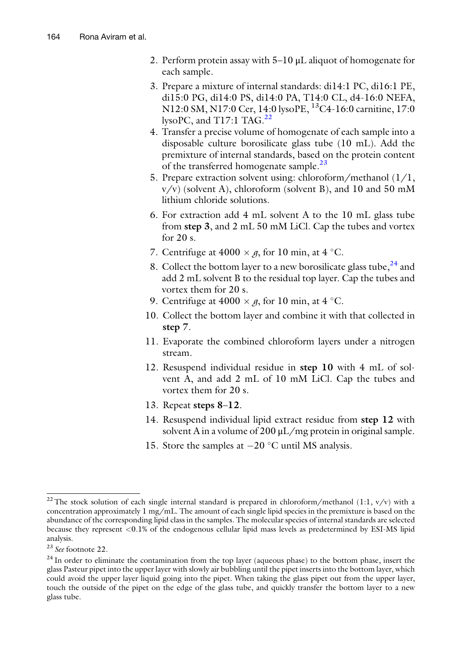- 2. Perform protein assay with 5–10 μL aliquot of homogenate for each sample.
- 3. Prepare a mixture of internal standards: di14:1 PC, di16:1 PE, di15:0 PG, di14:0 PS, di14:0 PA, T14:0 CL, d4-16:0 NEFA, N12:0 SM, N17:0 Cer, 14:0 lysoPE, 13C4-16:0 carnitine, 17:0 lysoPC, and  $T17:1$  TAG.<sup>[22](#page-7-0)</sup>
- 4. Transfer a precise volume of homogenate of each sample into a disposable culture borosilicate glass tube (10 mL). Add the premixture of internal standards, based on the protein content of the transferred homogenate sample.<sup>[23](#page-7-1)</sup>
- 5. Prepare extraction solvent using: chloroform/methanol (1/1,  $v/v$ ) (solvent A), chloroform (solvent B), and 10 and 50 mM lithium chloride solutions.
- 6. For extraction add 4 mL solvent A to the 10 mL glass tube from step 3, and 2 mL 50 mM LiCl. Cap the tubes and vortex for 20 s.
- 7. Centrifuge at  $4000 \times g$ , for 10 min, at  $4^{\circ}$ C.
- 8. Collect the bottom layer to a new borosilicate glass tube,  $24$  and add 2 mL solvent B to the residual top layer. Cap the tubes and vortex them for 20 s.
- 9. Centrifuge at  $4000 \times g$ , for 10 min, at  $4^{\circ}$ C.
- 10. Collect the bottom layer and combine it with that collected in step 7.
- 11. Evaporate the combined chloroform layers under a nitrogen stream.
- 12. Resuspend individual residue in step 10 with 4 mL of solvent A, and add 2 mL of 10 mM LiCl. Cap the tubes and vortex them for 20 s.
- 13. Repeat steps 8–12.
- 14. Resuspend individual lipid extract residue from step 12 with solvent A in a volume of  $200 \mu L/mg$  protein in original sample.
- 15. Store the samples at  $-20$  °C until MS analysis.

<span id="page-7-0"></span><sup>&</sup>lt;sup>22</sup>The stock solution of each single internal standard is prepared in chloroform/methanol (1:1,  $v/v$ ) with a concentration approximately 1 mg/mL. The amount of each single lipid species in the premixture is based on the abundance of the corresponding lipid class in the samples. The molecular species of internal standards are selected because they represent <0.1% of the endogenous cellular lipid mass levels as predetermined by ESI-MS lipid analysis.

<span id="page-7-1"></span><sup>23</sup> See footnote 22.

<span id="page-7-2"></span><sup>&</sup>lt;sup>24</sup> In order to eliminate the contamination from the top layer (aqueous phase) to the bottom phase, insert the glass Pasteur pipet into the upper layer with slowly air bubbling until the pipet inserts into the bottom layer, which could avoid the upper layer liquid going into the pipet. When taking the glass pipet out from the upper layer, touch the outside of the pipet on the edge of the glass tube, and quickly transfer the bottom layer to a new glass tube.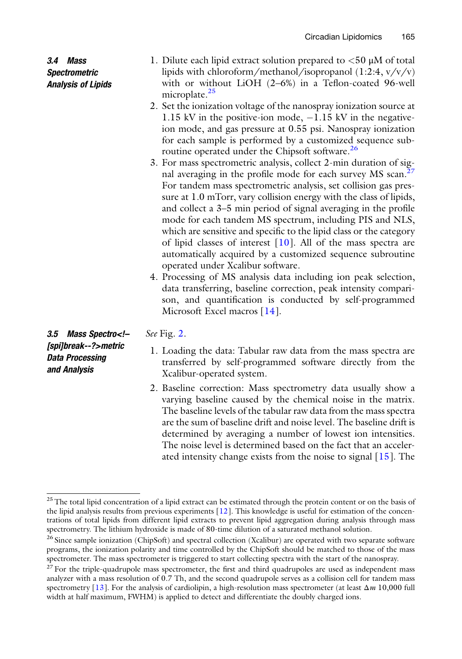3.4 Mass **Spectrometric** Analysis of Lipids

- 1. Dilute each lipid extract solution prepared to  $\lt 50 \mu M$  of total lipids with chloroform/methanol/isopropanol (1:2:4, v/v/v) with or without LiOH (2–6%) in a Teflon-coated 96-well microplate.<sup>25</sup>
- 2. Set the ionization voltage of the nanospray ionization source at 1.15 kV in the positive-ion mode,  $-1.15$  kV in the negativeion mode, and gas pressure at 0.55 psi. Nanospray ionization for each sample is performed by a customized sequence sub-routine operated under the Chipsoft software.<sup>[26](#page-8-1)</sup>
- 3. For mass spectrometric analysis, collect 2-min duration of signal averaging in the profile mode for each survey MS scan.<sup>2</sup> For tandem mass spectrometric analysis, set collision gas pressure at 1.0 mTorr, vary collision energy with the class of lipids, and collect a 3–5 min period of signal averaging in the profile mode for each tandem MS spectrum, including PIS and NLS, which are sensitive and specific to the lipid class or the category of lipid classes of interest  $[10]$  $[10]$  $[10]$ . All of the mass spectra are automatically acquired by a customized sequence subroutine operated under Xcalibur software.
- 4. Processing of MS analysis data including ion peak selection, data transferring, baseline correction, peak intensity comparison, and quantification is conducted by self-programmed Microsoft Excel macros [[14\]](#page-11-8).

3.5 Mass Spectro<!– [spi]break--?>metric Data Processing and Analysis

See Fig. [2.](#page-9-0)

- 1. Loading the data: Tabular raw data from the mass spectra are transferred by self-programmed software directly from the Xcalibur-operated system.
- 2. Baseline correction: Mass spectrometry data usually show a varying baseline caused by the chemical noise in the matrix. The baseline levels of the tabular raw data from the mass spectra are the sum of baseline drift and noise level. The baseline drift is determined by averaging a number of lowest ion intensities. The noise level is determined based on the fact that an accelerated intensity change exists from the noise to signal [[15\]](#page-11-9). The

<span id="page-8-0"></span><sup>&</sup>lt;sup>25</sup>The total lipid concentration of a lipid extract can be estimated through the protein content or on the basis of the lipid analysis results from previous experiments [[12](#page-11-3)]. This knowledge is useful for estimation of the concentrations of total lipids from different lipid extracts to prevent lipid aggregation during analysis through mass spectrometry. The lithium hydroxide is made of 80-time dilution of a saturated methanol solution.

<span id="page-8-1"></span><sup>&</sup>lt;sup>26</sup> Since sample ionization (ChipSoft) and spectral collection (Xcalibur) are operated with two separate software programs, the ionization polarity and time controlled by the ChipSoft should be matched to those of the mass spectrometer. The mass spectrometer is triggered to start collecting spectra with the start of the nanospray.

<span id="page-8-2"></span> $27$  For the triple-quadrupole mass spectrometer, the first and third quadrupoles are used as independent mass analyzer with a mass resolution of 0.7 Th, and the second quadrupole serves as a collision cell for tandem mass spectrometry [\[13\]](#page-11-10). For the analysis of cardiolipin, a high-resolution mass spectrometer (at least  $\Delta m$  10,000 full width at half maximum, FWHM) is applied to detect and differentiate the doubly charged ions.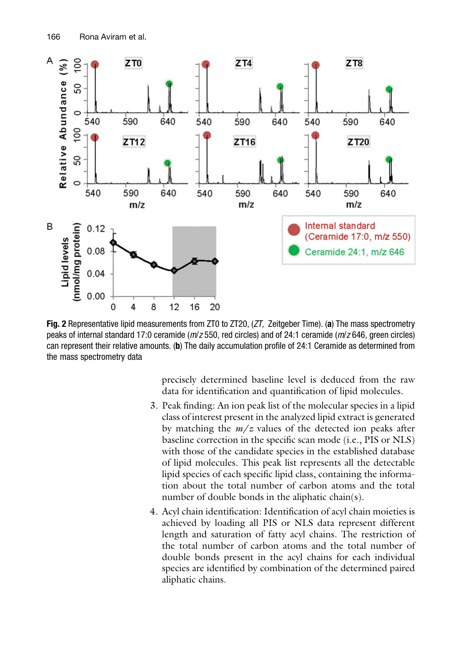<span id="page-9-0"></span>

Fig. 2 Representative lipid measurements from ZT0 to ZT20, (ZT, Zeitgeber Time). (a) The mass spectrometry peaks of internal standard 17:0 ceramide (m/z 550, red circles) and of 24:1 ceramide (m/z 646, green circles) can represent their relative amounts. (b) The daily accumulation profile of 24:1 Ceramide as determined from the mass spectrometry data

precisely determined baseline level is deduced from the raw data for identification and quantification of lipid molecules.

- 3. Peak finding: An ion peak list of the molecular species in a lipid class of interest present in the analyzed lipid extract is generated by matching the  $m/z$  values of the detected ion peaks after baseline correction in the specific scan mode (i.e., PIS or NLS) with those of the candidate species in the established database of lipid molecules. This peak list represents all the detectable lipid species of each specific lipid class, containing the information about the total number of carbon atoms and the total number of double bonds in the aliphatic chain(s).
- 4. Acyl chain identification: Identification of acyl chain moieties is achieved by loading all PIS or NLS data represent different length and saturation of fatty acyl chains. The restriction of the total number of carbon atoms and the total number of double bonds present in the acyl chains for each individual species are identified by combination of the determined paired aliphatic chains.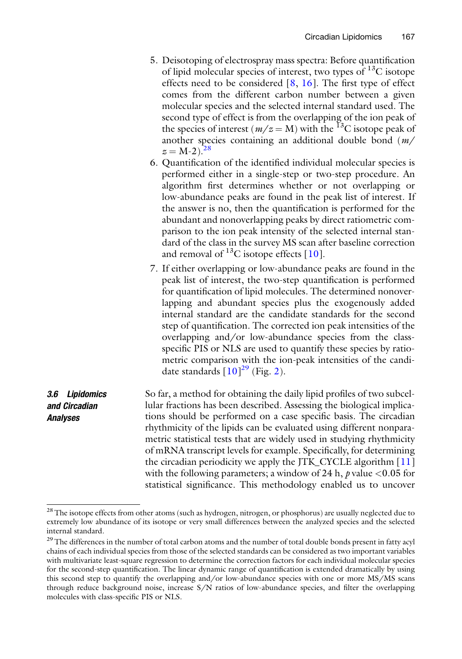- 5. Deisotoping of electrospray mass spectra: Before quantification of lipid molecular species of interest, two types of  $^{13}$ C isotope effects need to be considered  $[8, 16]$  $[8, 16]$  $[8, 16]$  $[8, 16]$ . The first type of effect comes from the different carbon number between a given molecular species and the selected internal standard used. The second type of effect is from the overlapping of the ion peak of the species of interest ( $m/z = M$ ) with the <sup>13</sup>C isotope peak of another species containing an additional double bond (m/  $z = M-2$ .<sup>[28](#page-10-0)</sup>
- 6. Quantification of the identified individual molecular species is performed either in a single-step or two-step procedure. An algorithm first determines whether or not overlapping or low-abundance peaks are found in the peak list of interest. If the answer is no, then the quantification is performed for the abundant and nonoverlapping peaks by direct ratiometric comparison to the ion peak intensity of the selected internal standard of the class in the survey MS scan after baseline correction and removal of  $^{13}$ C isotope effects [[10](#page-11-6)].
- 7. If either overlapping or low-abundance peaks are found in the peak list of interest, the two-step quantification is performed for quantification of lipid molecules. The determined nonoverlapping and abundant species plus the exogenously added internal standard are the candidate standards for the second step of quantification. The corrected ion peak intensities of the overlapping and/or low-abundance species from the classspecific PIS or NLS are used to quantify these species by ratiometric comparison with the ion-peak intensities of the candidate standards  $[10]^{29}$  $[10]^{29}$  $[10]^{29}$  $[10]^{29}$  $[10]^{29}$  (Fig. [2\)](#page-9-0).

3.6 Lipidomics and Circadian Analyses So far, a method for obtaining the daily lipid profiles of two subcellular fractions has been described. Assessing the biological implications should be performed on a case specific basis. The circadian rhythmicity of the lipids can be evaluated using different nonparametric statistical tests that are widely used in studying rhythmicity of mRNA transcript levels for example. Specifically, for determining the circadian periodicity we apply the JTK\_CYCLE algorithm [[11](#page-11-7)] with the following parameters; a window of 24 h,  $p$  value <0.05 for statistical significance. This methodology enabled us to uncover

<span id="page-10-0"></span><sup>&</sup>lt;sup>28</sup>The isotope effects from other atoms (such as hydrogen, nitrogen, or phosphorus) are usually neglected due to extremely low abundance of its isotope or very small differences between the analyzed species and the selected internal standard.

<span id="page-10-1"></span><sup>&</sup>lt;sup>29</sup>The differences in the number of total carbon atoms and the number of total double bonds present in fatty acyl chains of each individual species from those of the selected standards can be considered as two important variables with multivariate least-square regression to determine the correction factors for each individual molecular species for the second-step quantification. The linear dynamic range of quantification is extended dramatically by using this second step to quantify the overlapping and/or low-abundance species with one or more MS/MS scans through reduce background noise, increase S/N ratios of low-abundance species, and filter the overlapping molecules with class-specific PIS or NLS.